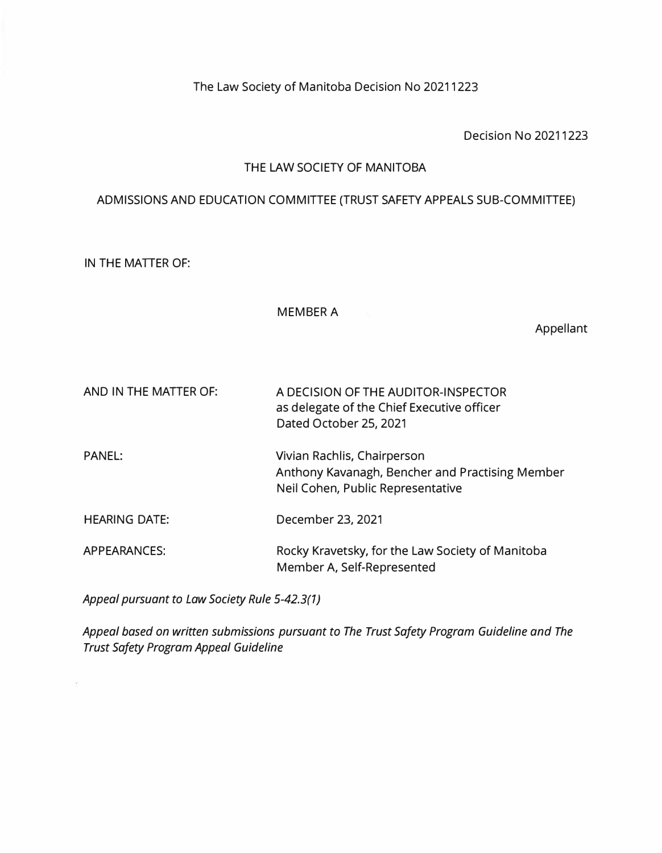The Law Society of Manitoba Decision No 20211223

Decision No 20211223

## THE LAW SOCIETY OF MANITOBA

# ADMISSIONS AND EDUCATION COMMITTEE (TRUST SAFETY APPEALS SUB-COMMITTEE)

IN THE MATTER OF:

#### MEMBER A

Appellant

| AND IN THE MATTER OF: | A DECISION OF THE AUDITOR-INSPECTOR<br>as delegate of the Chief Executive officer<br>Dated October 25, 2021         |
|-----------------------|---------------------------------------------------------------------------------------------------------------------|
| <b>PANEL:</b>         | Vivian Rachlis, Chairperson<br>Anthony Kavanagh, Bencher and Practising Member<br>Neil Cohen, Public Representative |
| <b>HEARING DATE:</b>  | December 23, 2021                                                                                                   |
| <b>APPEARANCES:</b>   | Rocky Kravetsky, for the Law Society of Manitoba<br>Member A, Self-Represented                                      |

*Appeal pursuant to Law Society Rule 5-42.3(1 J* 

*Appeal based on written submissions pursuant to The Trust Safety Program Guideline and The Trust Safety Program Appeal Guideline*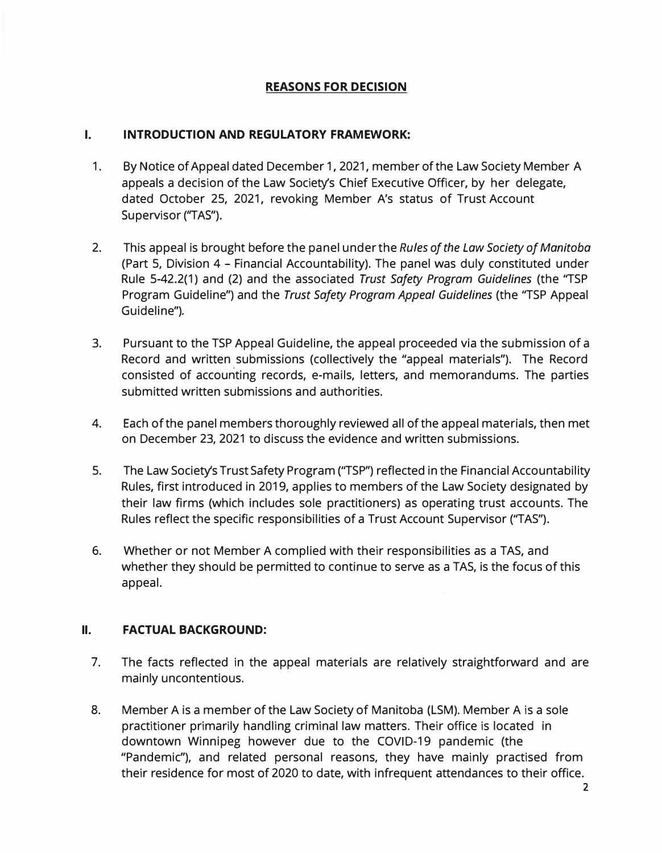## **REASONS FOR DECISION**

#### **I. INTRODUCTION AND REGULATORY FRAMEWORK:**

- 1. By Notice of Appeal dated December 1, 2021, member of the Law Society Member A appeals a decision of the Law Society's Chief Executive Officer, by her delegate, dated October 25, 2021, revoking Member A's status of Trust Account Supervisor ("TAS").
- 2. This appeal is brought before the panel under the *Rules of the Law Society of Manitoba* (Part 5, Division 4 - Financial Accountability). The panel was duly constituted under Rule 5-42.2(1) and (2) and the associated *Trust Safety Program Guidelines* (the ''TSP Program Guideline") and the *Trust Safety Program Appeal Guidelines* (the ''TSP Appeal Guideline").
- 3. Pursuant to the TSP Appeal Guideline, the appeal proceeded via the submission of a Record and written submissions (collectively the "appeal materials"). The Record consisted of accounting records, e-mails, letters, and memorandums. The parties submitted written submissions and authorities.
- 4. Each of the panel members thoroughly reviewed all of the appeal materials, then met on December 23, 2021 to discuss the evidence and written submissions.
- 5. The Law Society's Trust Safety Program (''TSP") reflected in the Financial Accountability Rules, first introduced in 2019, applies to members of the Law Society designated by their law firms (which includes sole practitioners) as operating trust accounts. The Rules reflect the specific responsibilities of a Trust Account Supervisor (''TAS").
- 6. Whether or not Member A complied with their responsibilities as a TAS, and whether they should be permitted to continue to serve as a TAS, is the focus of this appeal.

## **II. FACTUAL BACKGROUND:**

- 7. The facts reflected in the appeal materials are relatively straightforward and are mainly uncontentious.
- 8. Member A is a member of the Law Society of Manitoba (LSM). Member A is a sole practitioner primarily handling criminal law matters. Their office is located in downtown Winnipeg however due to the COVID-19 pandemic (the "Pandemic"), and related personal reasons, they have mainly practised from their residence for most of 2020 to date, with infrequent attendances to their office.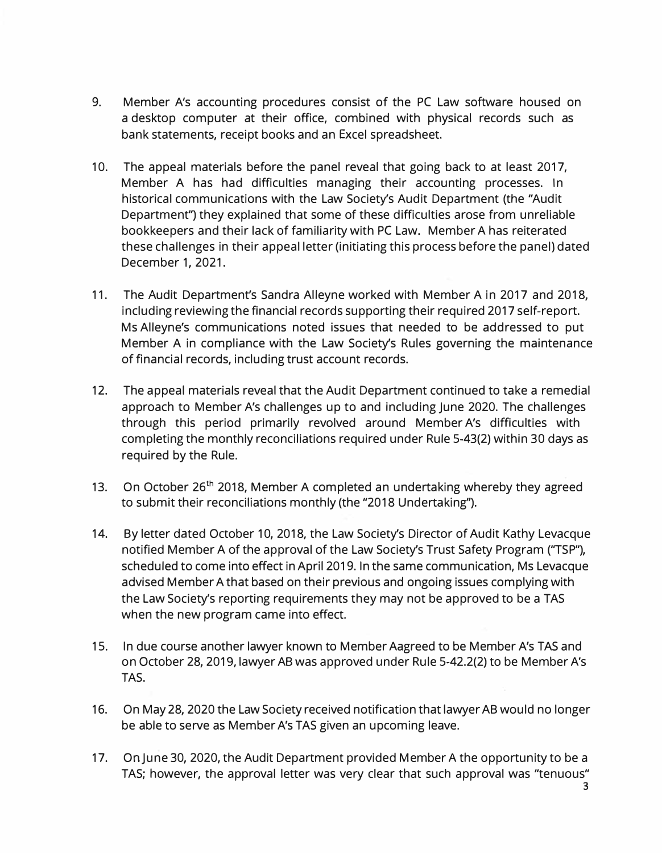- 9. Member A's accounting procedures consist of the PC Law software housed on a desktop computer at their office, combined with physical records such as bank statements, receipt books and an Excel spreadsheet.
- 10. The appeal materials before the panel reveal that going back to at least 2017, Member A has had difficulties managing their accounting processes. In historical communications with the Law Society's Audit Department (the "Audit Department") they explained that some of these difficulties arose from unreliable bookkeepers and their lack of familiarity with PC Law. Member A has reiterated these challenges in their appeal letter (initiating this process before the panel) dated December 1, 2021.
- 11. The Audit Department's Sandra Alleyne worked with Member A in 2017 and 2018, including reviewing the financial records supporting their required 2017 self-report. Ms Alleyne's communications noted issues that needed to be addressed to put Member A in compliance with the Law Society's Rules governing the maintenance of financial records, including trust account records.
- 12. The appeal materials reveal that the Audit Department continued to take a remedial approach to Member A's challenges up to and including June 2020. The challenges through this period primarily revolved around Member A's difficulties with completing the monthly reconciliations required under Rule 5-43(2) within 30 days as required by the Rule.
- 13. On October 26<sup>th</sup> 2018, Member A completed an undertaking whereby they agreed to submit their reconciliations monthly (the "2018 Undertaking'').
- 14. By letter dated October 10, 2018, the Law Society's Director of Audit Kathy Levacque notified Member A of the approval of the Law Society's Trust Safety Program (''TSP"), scheduled to come into effect in April 2019. In the same communication, Ms Levacque advised Member A that based on their previous and ongoing issues complying with the Law Society's reporting requirements they may not be approved to be a TAS when the new program came into effect.
- 15. In due course another lawyer known to Member Aagreed to be Member A's TAS and on October 28, 2019, lawyer AB was approved under Rule 5-42.2(2) to be Member A's TAS.
- 16. On May 28, 2020 the Law Society received notification that lawyer AB would no longer be able to serve as Member A's TAS given an upcoming leave.
- 17. On June 30, 2020, the Audit Department provided Member A the opportunity to be a TAS; however, the approval letter was very clear that such approval was "tenuous"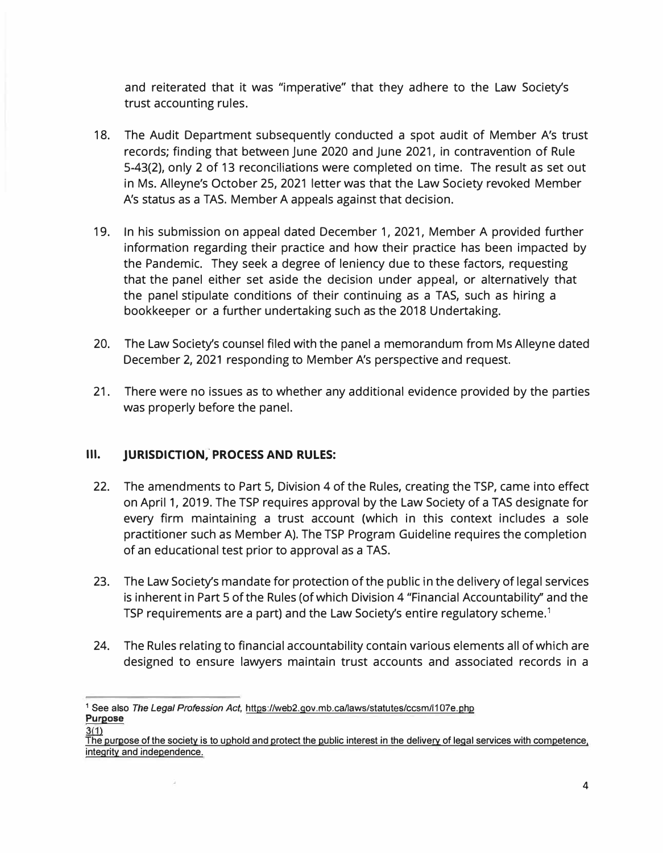and reiterated that it was "imperative" that they adhere to the Law Society's trust accounting rules.

- 18. The Audit Department subsequently conducted a spot audit of Member A's trust records; finding that between June 2020 and June 2021, in contravention of Rule 5-43(2), only 2 of 13 reconciliations were completed on time. The result as set out in Ms. Alleyne's October 25, 2021 letter was that the Law Society revoked Member A's status as a TAS. Member A appeals against that decision.
- 19. In his submission on appeal dated December 1, 2021, Member A provided further information regarding their practice and how their practice has been impacted by the Pandemic. They seek a degree of leniency due to these factors, requesting that the panel either set aside the decision under appeal, or alternatively that the panel stipulate conditions of their continuing as a TAS, such as hiring a bookkeeper or a further undertaking such as the 2018 Undertaking.
- 20. The Law Society's counsel filed with the panel a memorandum from Ms Alleyne dated December 2, 2021 responding to Member A's perspective and request.
- 21. There were no issues as to whether any additional evidence provided by the parties was properly before the panel.

## **III. JURISDICTION, PROCESS AND RULES:**

- 22. The amendments to Part 5, Division 4 of the Rules, creating the TSP, came into effect on April 1, 2019. The TSP requires approval by the Law Society of a TAS designate for every firm maintaining a trust account (which in this context includes a sole practitioner such as Member A). The TSP Program Guideline requires the completion of an educational test prior to approval as a TAS.
- 23. The Law Society's mandate for protection of the public in the delivery of legal services is inherent in Part 5 of the Rules (of which Division 4 "Financial Accountability'' and the TSP requirements are a part) and the Law Society's entire regulatory scheme. $^{\rm 1}$
- 24. The Rules relating to financial accountability contain various elements all of which are designed to ensure lawyers maintain trust accounts and associated records in a

<sup>1</sup> See also *The Legal Profession Act,* httos://web2.qov.mb.ca/laws/statutes/ccsm/I107e.php **Purpose** 

The purpose of the society is to uphold and protect the public interest in the delivery of legal services with competence, integrity and independence.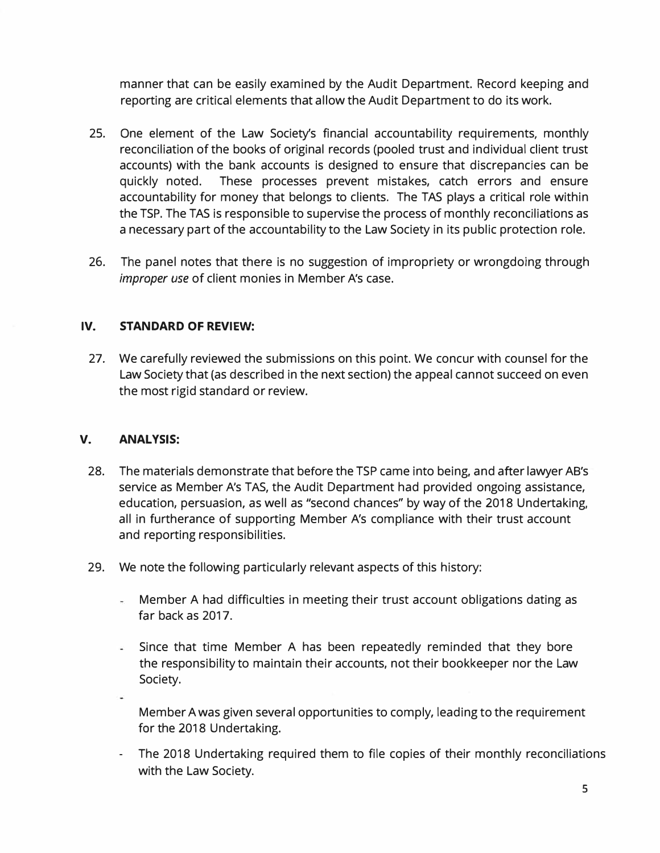manner that can be easily examined by the Audit Department. Record keeping and reporting are critical elements that allow the Audit Department to do its work.

- 25. One element of the Law Society's financial accountability requirements, monthly reconciliation of the books of original records (pooled trust and individual client trust accounts) with the bank accounts is designed to ensure that discrepancies can be quickly noted. These processes prevent mistakes, catch errors and ensure accountability for money that belongs to clients. The TAS plays a critical role within the TSP. The TAS is responsible to supervise the process of monthly reconciliations as a necessary part of the accountability to the Law Society in its public protection role.
- 26. The panel notes that there is no suggestion of impropriety or wrongdoing through *improper use* of client monies in Member A's case.

### **IV. STANDARD OF REVIEW:**

27. We carefully reviewed the submissions on this point. We concur with counsel for the Law Society that (as described in the next section) the appeal cannot succeed on even the most rigid standard or review.

#### **V. ANALYSIS:**

- 28. The materials demonstrate that before the TSP came into being, and after lawyer AB's service as Member A's TAS, the Audit Department had provided ongoing assistance, education, persuasion, as well as "second chances" by way of the 2018 Undertaking, all in furtherance of supporting Member A's compliance with their trust account and reporting responsibilities.
- 29. We note the following particularly relevant aspects of this history:
	- Member A had difficulties in meeting their trust account obligations dating as far back as 2017.
	- Since that time Member A has been repeatedly reminded that they bore the responsibility to maintain their accounts, not their bookkeeper nor the Law Society.
	- Member A was given several opportunities to comply, leading to the requirement for the 2018 Undertaking.
	- The 2018 Undertaking required them to file copies of their monthly reconciliations with the Law Society.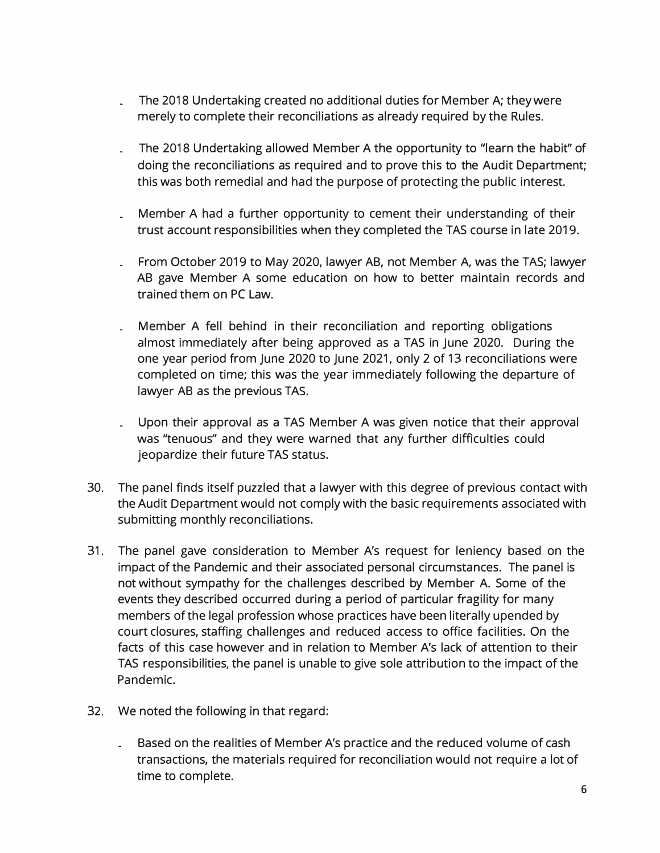- The 2018 Undertaking created no additional duties for Member A; they were merely to complete their reconciliations as already required by the Rules.
- The 2018 Undertaking allowed Member A the opportunity to "learn the habit" of doing the reconciliations as required and to prove this to the Audit Department; this was both remedial and had the purpose of protecting the public interest.
- Member A had a further opportunity to cement their understanding of their trust account responsibilities when they completed the TAS course in late 2019.
- From October 2019 to May 2020, lawyer AB, not Member A, was the TAS; lawyer AB gave Member A some education on how to better maintain records and trained them on PC Law.
- Member A fell behind in their reconciliation and reporting obligations almost immediately after being approved as a TAS in June 2020. During the one year period from June 2020 to June 2021, only 2 of 13 reconciliations were completed on time; this was the year immediately following the departure of lawyer AB as the previous TAS.
- Upon their approval as a TAS Member A was given notice that their approval was "tenuous" and they were warned that any further difficulties could jeopardize their future TAS status.
- 30. The panel finds itself puzzled that a lawyer with this degree of previous contact with the Audit Department would not comply with the basic requirements associated with submitting monthly reconciliations.
- 31. The panel gave consideration to Member A's request for leniency based on the impact of the Pandemic and their associated personal circumstances. The panel is not without sympathy for the challenges described by Member A. Some of the events they described occurred during a period of particular fragility for many members of the legal profession whose practices have been literally upended by court closures, staffing challenges and reduced access to office facilities. On the facts of this case however and in relation to Member A's lack of attention to their TAS responsibilities, the panel is unable to give sole attribution to the impact of the Pandemic.
- 32. We noted the following in that regard:
	- Based on the realities of Member A's practice and the reduced volume of cash transactions, the materials required for reconciliation would not require a lot of time to complete.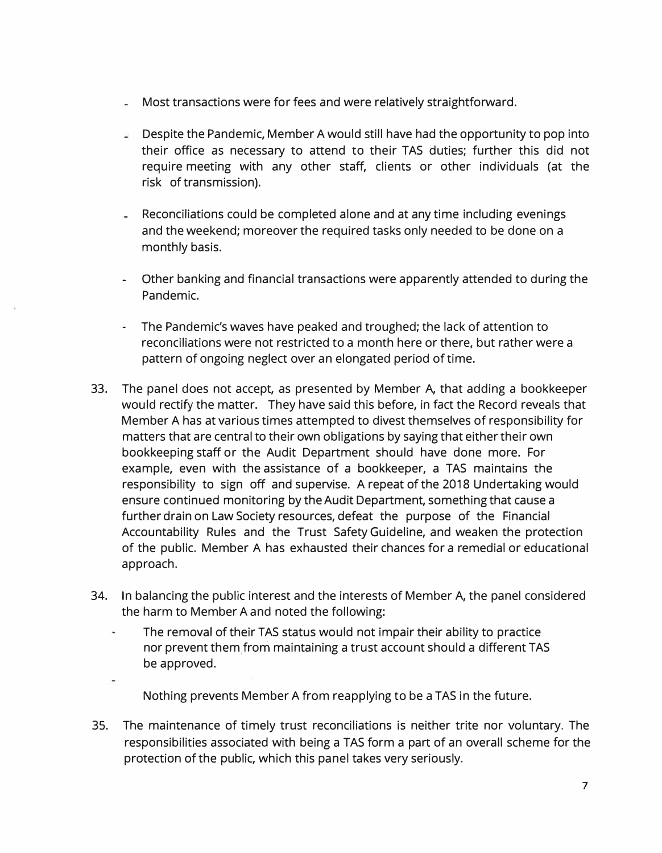- Most transactions were for fees and were relatively straightforward.
- Despite the Pandemic, Member A would still have had the opportunity to pop into g. their office as necessary to attend to their TAS duties; further this did not require meeting with any other staff, clients or other individuals (at the risk of transmission).
- Reconciliations could be completed alone and at any time including evenings and the weekend; moreover the required tasks only needed to be done on a monthly basis.
- Other banking and financial transactions were apparently attended to during the Pandemic.
- The Pandemic's waves have peaked and troughed; the lack of attention to reconciliations were not restricted to a month here or there, but rather were a pattern of ongoing neglect over an elongated period of time.
- 33. The panel does not accept, as presented by Member A, that adding a bookkeeper would rectify the matter. They have said this before, in fact the Record reveals that Member A has at various times attempted to divest themselves of responsibility for matters that are central to their own obligations by saying that either their own bookkeeping staff or the Audit Department should have done more. For example, even with the assistance of a bookkeeper, a TAS maintains the responsibility to sign off and supervise. A repeat of the 2018 Undertaking would ensure continued monitoring by the Audit Department, something that cause a further drain on Law Society resources, defeat the purpose of the Financial Accountability Rules and the Trust Safety Guideline, and weaken the protection of the public. Member A has exhausted their chances for a remedial or educational approach.
- 34. In balancing the public interest and the interests of Member A, the panel considered the harm to Member A and noted the following:
	- The removal of their TAS status would not impair their ability to practice i. nor prevent them from maintaining a trust account should a different TAS be approved.
		- Nothing prevents Member A from reapplying to be a TAS in the future.
- 35. The maintenance of timely trust reconciliations is neither trite nor voluntary. The responsibilities associated with being a TAS form a part of an overall scheme for the protection of the public, which this panel takes very seriously.